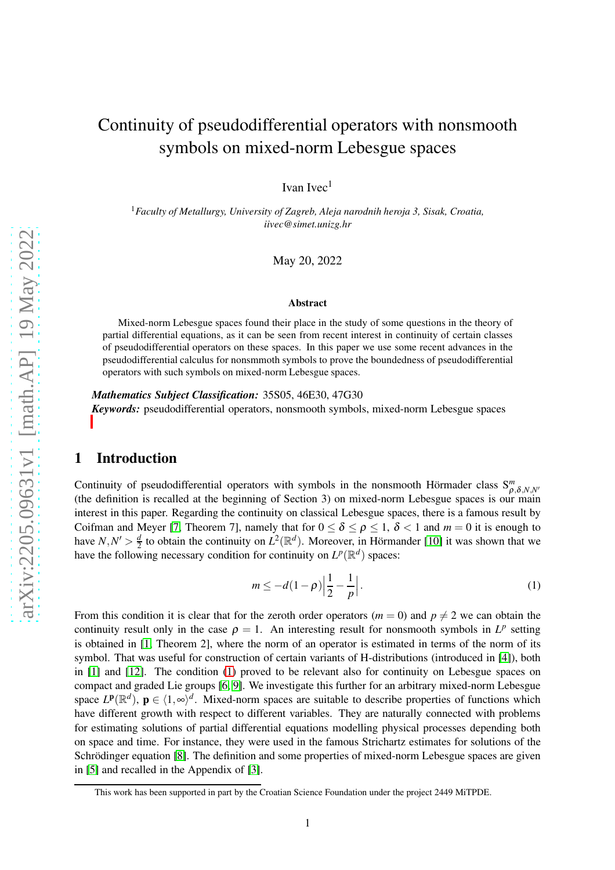# Continuity of pseudodifferential operators with nonsmooth symbols on mixed-norm Lebesgue spaces

Ivan Ivec $<sup>1</sup>$ </sup>

<sup>1</sup>*Faculty of Metallurgy, University of Zagreb, Aleja narodnih heroja 3, Sisak, Croatia, iivec@simet.unizg.hr*

May 20, 2022

#### **Abstract**

Mixed-norm Lebesgue spaces found their place in the study of some questions in the theory of partial differential equations, as it can be seen from recent interest in continuity of certain classes of pseudodifferential operators on these spaces. In this paper we use some recent advances in the pseudodifferential calculus for nonsmmoth symbols to prove the boundedness of pseudodifferential operators with such symbols on mixed-norm Lebesgue spaces.

*Mathematics Subject Classification:* 35S05, 46E30, 47G30 *[K](#page-0-0)eywords:* pseudodifferential operators, nonsmooth symbols, mixed-norm Lebesgue spaces

# 1 Introduction

Continuity of pseudodifferential operators with symbols in the nonsmooth Hörmader class  $S_{\rho,\delta,N,N'}^m$ (the definition is recalled at the beginning of Section 3) on mixed-norm Lebesgue spaces is our main interest in this paper. Regarding the continuity on classical Lebesgue spaces, there is a famous result by Coifman and Meyer [\[7,](#page-7-0) Theorem 7], namely that for  $0 \le \delta \le \rho \le 1$ ,  $\delta < 1$  and  $m = 0$  it is enough to have  $N, N' > \frac{d}{2}$  $\frac{d}{2}$  to obtain the continuity on  $L^2(\mathbb{R}^d)$ . Moreover, in Hörmander [\[10\]](#page-7-1) it was shown that we have the following necessary condition for continuity on  $L^p(\mathbb{R}^d)$  spaces:

<span id="page-0-1"></span>
$$
m \le -d(1-\rho)\left|\frac{1}{2} - \frac{1}{p}\right|.\tag{1}
$$

From this condition it is clear that for the zeroth order operators ( $m = 0$ ) and  $p \neq 2$  we can obtain the continuity result only in the case  $\rho = 1$ . An interesting result for nonsmooth symbols in  $L^p$  setting is obtained in [\[1,](#page-6-0) Theorem 2], where the norm of an operator is estimated in terms of the norm of its symbol. That was useful for construction of certain variants of H-distributions (introduced in [\[4\]](#page-7-2)), both in [\[1\]](#page-6-0) and [\[12\]](#page-7-3). The condition [\(1\)](#page-0-1) proved to be relevant also for continuity on Lebesgue spaces on compact and graded Lie groups [\[6,](#page-7-4) [9\]](#page-7-5). We investigate this further for an arbitrary mixed-norm Lebesgue space  $L^{\mathbf{p}}(\mathbb{R}^d)$ ,  $\mathbf{p} \in (1, \infty)^d$ . Mixed-norm spaces are suitable to describe properties of functions which have different growth with respect to different variables. They are naturally connected with problems for estimating solutions of partial differential equations modelling physical processes depending both on space and time. For instance, they were used in the famous Strichartz estimates for solutions of the Schrödinger equation [\[8\]](#page-7-6). The definition and some properties of mixed-norm Lebesgue spaces are given in [\[5\]](#page-7-7) and recalled in the Appendix of [\[3\]](#page-7-8).

<span id="page-0-0"></span>This work has been supported in part by the Croatian Science Foundation under the project 2449 MiTPDE.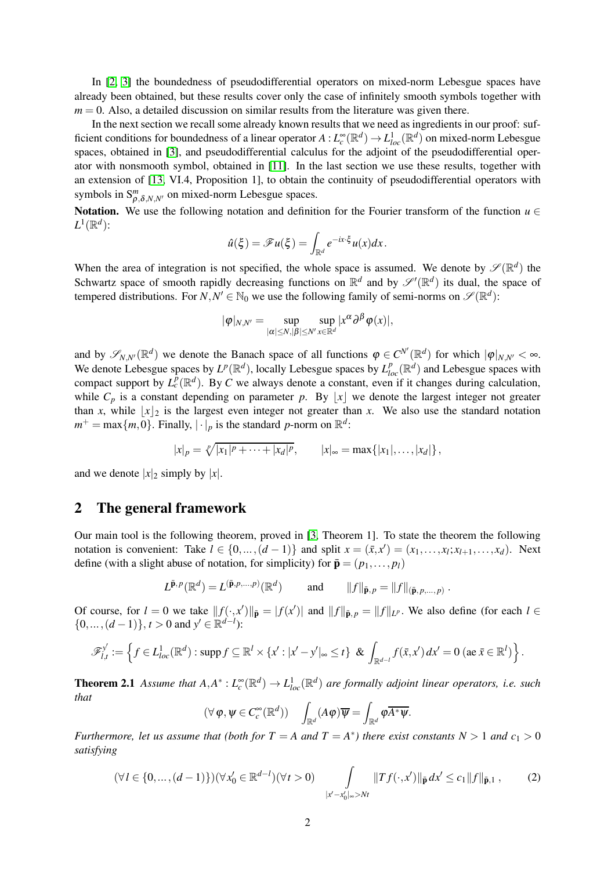In [\[2,](#page-6-1) [3\]](#page-7-8) the boundedness of pseudodifferential operators on mixed-norm Lebesgue spaces have already been obtained, but these results cover only the case of infinitely smooth symbols together with  $m = 0$ . Also, a detailed discussion on similar results from the literature was given there.

In the next section we recall some already known results that we need as ingredients in our proof: sufficient conditions for boundedness of a linear operator  $A: L_c^{\infty}(\mathbb{R}^d) \to L_{loc}^1(\mathbb{R}^d)$  on mixed-norm Lebesgue spaces, obtained in [\[3\]](#page-7-8), and pseudodifferential calculus for the adjoint of the pseudodifferential operator with nonsmooth symbol, obtained in [\[11\]](#page-7-9). In the last section we use these results, together with an extension of [\[13,](#page-7-10) VI.4, Proposition 1], to obtain the continuity of pseudodifferential operators with symbols in  $S_{\rho,\delta,N,N'}^m$  on mixed-norm Lebesgue spaces.

Notation. We use the following notation and definition for the Fourier transform of the function  $u \in$  $L^1(\mathbb{R}^d)$ :

$$
\hat{u}(\xi) = \mathscr{F}u(\xi) = \int_{\mathbb{R}^d} e^{-ix\cdot\xi} u(x) dx.
$$

When the area of integration is not specified, the whole space is assumed. We denote by  $\mathscr{S}(\mathbb{R}^d)$  the Schwartz space of smooth rapidly decreasing functions on  $\mathbb{R}^d$  and by  $\mathscr{S}'(\mathbb{R}^d)$  its dual, the space of tempered distributions. For  $N, N' \in \mathbb{N}_0$  we use the following family of semi-norms on  $\mathscr{S}(\mathbb{R}^d)$ :

$$
|\varphi|_{N,N'}=\sup_{|\alpha|\leq N,|\beta|\leq N'}\sup_{x\in\mathbb{R}^d}|x^{\alpha}\partial^{\beta}\varphi(x)|,
$$

and by  $\mathscr{S}_{N,N'}(\mathbb{R}^d)$  we denote the Banach space of all functions  $\varphi \in C^{N'}(\mathbb{R}^d)$  for which  $|\varphi|_{N,N'} < \infty$ . We denote Lebesgue spaces by  $L^p(\mathbb{R}^d)$ , locally Lebesgue spaces by  $L^p_{loc}(\mathbb{R}^d)$  and Lebesgue spaces with compact support by  $L_c^p(\mathbb{R}^d)$ . By *C* we always denote a constant, even if it changes during calculation, while  $C_p$  is a constant depending on parameter p. By |x| we denote the largest integer not greater than *x*, while  $|x|_2$  is the largest even integer not greater than *x*. We also use the standard notation  $m^+ = \max\{m, 0\}$ . Finally,  $|\cdot|_p$  is the standard *p*-norm on  $\mathbb{R}^d$ :

$$
|x|_p = \sqrt[p]{|x_1|^p + \cdots + |x_d|^p},
$$
  $|x|_{\infty} = \max\{|x_1|, \ldots, |x_d|\},$ 

and we denote  $|x|_2$  simply by  $|x|$ .

## 2 The general framework

Our main tool is the following theorem, proved in [\[3,](#page-7-8) Theorem 1]. To state the theorem the following notation is convenient: Take  $l \in \{0, \ldots, (d-1)\}$  and split  $x = (\bar{x}, x') = (x_1, \ldots, x_l; x_{l+1}, \ldots, x_d)$ . Next define (with a slight abuse of notation, for simplicity) for  $\bar{\mathbf{p}} = (p_1, \dots, p_l)$ 

$$
L^{\bar{\mathbf{p}},p}(\mathbb{R}^d) = L^{(\bar{\mathbf{p}},p,\ldots,p)}(\mathbb{R}^d) \quad \text{and} \quad \|f\|_{\bar{\mathbf{p}},p} = \|f\|_{(\bar{\mathbf{p}},p,\ldots,p)}.
$$

Of course, for  $l = 0$  we take  $||f(\cdot,x')||_{\bar{\mathbf{p}}} = |f(x')|$  and  $||f||_{\bar{\mathbf{p}},p} = ||f||_{L^p}$ . We also define (for each  $l \in$ {0,...,(*d* − 1)}, *t* > 0 and *y*<sup>'</sup> ∈  $\mathbb{R}^{d-1}$ ):

$$
\mathscr{F}_{l,t}^{\mathbf{y}'} := \left\{ f \in L_{loc}^1(\mathbb{R}^d) : \operatorname{supp} f \subseteq \mathbb{R}^l \times \{x' : |x'-y'|_{\infty} \leq t\} \& \int_{\mathbb{R}^{d-l}} f(\bar{x}, x') dx' = 0 \left( \operatorname{ae} \bar{x} \in \mathbb{R}^l \right) \right\}.
$$

**Theorem 2.1** Assume that  $A, A^*: L_c^{\infty}(\mathbb{R}^d) \to L_{loc}^1(\mathbb{R}^d)$  are formally adjoint linear operators, i.e. such *that*

$$
(\forall \varphi, \psi \in C_c^{\infty}(\mathbb{R}^d)) \quad \int_{\mathbb{R}^d} (A\varphi) \overline{\psi} = \int_{\mathbb{R}^d} \varphi \overline{A^* \psi}.
$$

*Furthermore, let us assume that (both for*  $T = A$  *and*  $T = A^*$ ) there exist constants  $N > 1$  *and*  $c_1 > 0$ *satisfying*

<span id="page-1-0"></span>
$$
(\forall l \in \{0, ..., (d-1)\}) (\forall x'_0 \in \mathbb{R}^{d-l})(\forall t > 0) \qquad \int_{|x'-x'_0|_{\infty} > Nt} \|Tf(\cdot, x')\|_{\bar{\mathbf{p}}} dx' \le c_1 \|f\|_{\bar{\mathbf{p}},1},\qquad(2)
$$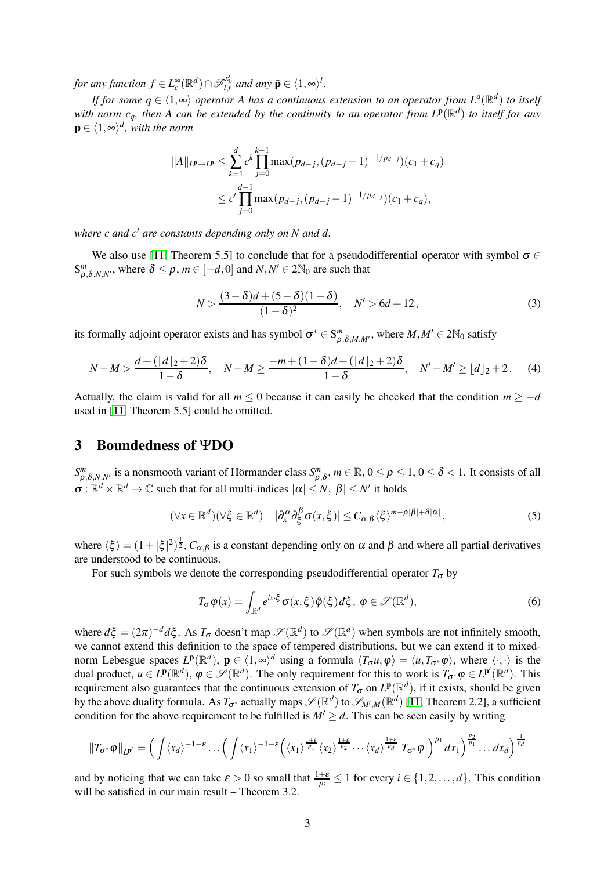$f$  *for any function*  $f \in L_c^{\infty}(\mathbb{R}^d) \cap \mathscr{F}_{l,t}^{x'_0}$  *and any*  $\bar{\mathbf{p}} \in \langle 1, \infty \rangle^l$ .

*If for some*  $q \in \langle 1, \infty \rangle$  *operator A has a continuous extension to an operator from*  $L^q(\mathbb{R}^d)$  *to itself* with norm  $c_q$ , then A can be extended by the continuity to an operator from  $L^{\bf p}(\mathbb{R}^d)$  to itself for any  $\mathbf{p} \in \langle 1, \infty \rangle^d$ , with the norm

$$
||A||_{L^{p}\to L^{p}} \leq \sum_{k=1}^{d} c^{k} \prod_{j=0}^{k-1} \max(p_{d-j}, (p_{d-j}-1)^{-1/p_{d-j}})(c_1+c_q)
$$
  

$$
\leq c' \prod_{j=0}^{d-1} \max(p_{d-j}, (p_{d-j}-1)^{-1/p_{d-j}})(c_1+c_q),
$$

*where c and c*′ *are constants depending only on N and d.*

We also use [\[11,](#page-7-9) Theorem 5.5] to conclude that for a pseudodifferential operator with symbol  $\sigma \in$  $S_{\rho,\delta,N,N'}^m$ , where  $\delta \leq \rho$ ,  $m \in [-d,0]$  and  $N,N' \in 2\mathbb{N}_0$  are such that

<span id="page-2-2"></span>
$$
N > \frac{(3-\delta)d + (5-\delta)(1-\delta)}{(1-\delta)^2}, \quad N' > 6d + 12, \tag{3}
$$

its formally adjoint operator exists and has symbol  $\sigma^* \in S^m_{\rho,\delta,M,M'}$ , where  $M,M' \in 2\mathbb{N}_0$  satisfy

<span id="page-2-3"></span>
$$
N-M > \frac{d + (\lfloor d \rfloor_2 + 2)\delta}{1-\delta}, \quad N-M \ge \frac{-m + (1-\delta)d + (\lfloor d \rfloor_2 + 2)\delta}{1-\delta}, \quad N'-M' \ge \lfloor d \rfloor_2 + 2. \tag{4}
$$

Actually, the claim is valid for all  $m \leq 0$  because it can easily be checked that the condition  $m \geq -d$ used in [\[11,](#page-7-9) Theorem 5.5] could be omitted.

#### 3 Boundedness of ΨDO

 $S^m_{\rho,\delta,N,N'}$  is a nonsmooth variant of Hörmander class  $S^m_{\rho,\delta}, m \in \mathbb{R}$ ,  $0 \le \rho \le 1$ ,  $0 \le \delta < 1$ . It consists of all  $\sigma : \mathbb{R}^d \times \mathbb{R}^d \to \mathbb{C}$  such that for all multi-indices  $|\alpha| \le N, |\beta| \le N'$  it holds

<span id="page-2-0"></span>
$$
(\forall x \in \mathbb{R}^d)(\forall \xi \in \mathbb{R}^d) \quad |\partial_x^{\alpha} \partial_{\xi}^{\beta} \sigma(x, \xi)| \leq C_{\alpha, \beta} \langle \xi \rangle^{m-\rho|\beta|+\delta|\alpha|}, \tag{5}
$$

where  $\langle \xi \rangle = (1+|\xi|^2)^{\frac{1}{2}}$ ,  $C_{\alpha,\beta}$  is a constant depending only on  $\alpha$  and  $\beta$  and where all partial derivatives are understood to be continuous.

For such symbols we denote the corresponding pseudodifferential operator  $T_{\sigma}$  by

<span id="page-2-1"></span>
$$
T_{\sigma}\varphi(x) = \int_{\mathbb{R}^d} e^{ix\cdot\xi} \sigma(x,\xi)\hat{\varphi}(\xi) d\xi, \ \varphi \in \mathscr{S}(\mathbb{R}^d), \tag{6}
$$

where  $d\xi = (2\pi)^{-d} d\xi$ . As  $T_{\sigma}$  doesn't map  $\mathscr{S}(\mathbb{R}^d)$  to  $\mathscr{S}(\mathbb{R}^d)$  when symbols are not infinitely smooth, we cannot extend this definition to the space of tempered distributions, but we can extend it to mixednorm Lebesgue spaces  $L^{\mathbf{p}}(\mathbb{R}^d)$ ,  $\mathbf{p} \in (1, \infty)^d$  using a formula  $\langle T_{\sigma} u, \varphi \rangle = \langle u, T_{\sigma^*} \varphi \rangle$ , where  $\langle \cdot, \cdot \rangle$  is the dual product,  $u \in L^p(\mathbb{R}^d)$ ,  $\varphi \in \mathscr{S}(\mathbb{R}^d)$ . The only requirement for this to work is  $T_{\sigma^*}\varphi \in L^{p'}(\mathbb{R}^d)$ . This requirement also guarantees that the continuous extension of  $T_{\sigma}$  on  $L^p(\mathbb{R}^d)$ , if it exists, should be given by the above duality formula. As  $T_{\sigma^*}$  actually maps  $\mathscr{S}(\mathbb{R}^d)$  to  $\mathscr{S}_{M',M}(\mathbb{R}^d)$  [\[11,](#page-7-9) Theorem 2.2], a sufficient condition for the above requirement to be fulfilled is  $M' \ge d$ . This can be seen easily by writing

$$
\|T_{\sigma^*}\varphi\|_{L^{p'}}=\Big(\int\langle x_d\rangle^{-1-\varepsilon}\ldots\Big(\int\langle x_1\rangle^{-1-\varepsilon}\Big(\langle x_1\rangle^{\frac{1+\varepsilon}{p_1}}\langle x_2\rangle^{\frac{1+\varepsilon}{p_2}}\cdots\langle x_d\rangle^{\frac{1+\varepsilon}{p_d}}|T_{\sigma^*}\varphi|\Big)^{p_1}dx_1\Big)^{\frac{p_2}{p_1}}\ldots dx_d\Big)^{\frac{1}{p_d}}
$$

and by noticing that we can take  $\varepsilon > 0$  so small that  $\frac{1+\varepsilon}{p_i} \le 1$  for every  $i \in \{1, 2, ..., d\}$ . This condition will be satisfied in our main result – Theorem 3.2.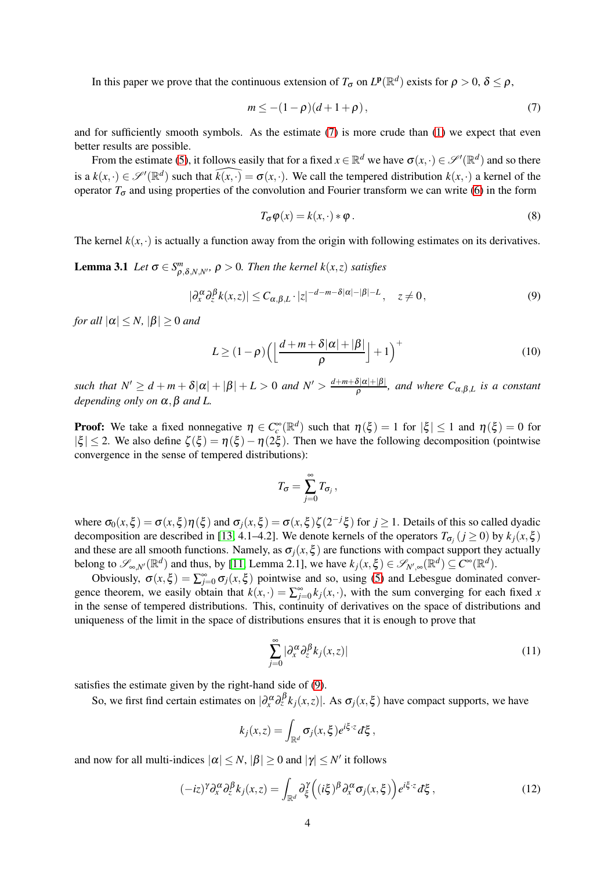In this paper we prove that the continuous extension of  $T_{\sigma}$  on  $L^p(\mathbb{R}^d)$  exists for  $\rho > 0$ ,  $\delta \leq \rho$ ,

<span id="page-3-0"></span>
$$
m \le -(1 - \rho)(d + 1 + \rho),\tag{7}
$$

and for sufficiently smooth symbols. As the estimate [\(7\)](#page-3-0) is more crude than [\(1\)](#page-0-1) we expect that even better results are possible.

From the estimate [\(5\)](#page-2-0), it follows easily that for a fixed  $x \in \mathbb{R}^d$  we have  $\sigma(x, \cdot) \in \mathscr{S}'(\mathbb{R}^d)$  and so there is a  $k(x, \cdot) \in \mathscr{S}'(\mathbb{R}^d)$  such that  $\widehat{k(x, \cdot)} = \sigma(x, \cdot)$ . We call the tempered distribution  $k(x, \cdot)$  a kernel of the operator  $T_{\sigma}$  and using properties of the convolution and Fourier transform we can write [\(6\)](#page-2-1) in the form

$$
T_{\sigma}\varphi(x) = k(x, \cdot) * \varphi. \tag{8}
$$

The kernel  $k(x, \cdot)$  is actually a function away from the origin with following estimates on its derivatives.

**Lemma 3.1** *Let*  $\sigma \in S^m_{\rho,\delta,N,N'}$ ,  $\rho > 0$ . *Then the kernel k(x,z) satisfies* 

<span id="page-3-1"></span>
$$
|\partial_x^{\alpha} \partial_{z}^{\beta} k(x, z)| \le C_{\alpha, \beta, L} \cdot |z|^{-d - m - \delta |\alpha| - |\beta| - L}, \quad z \ne 0,
$$
\n<sup>(9)</sup>

*for all*  $|\alpha| \leq N$ ,  $|\beta| \geq 0$  *and* 

<span id="page-3-4"></span>
$$
L \ge (1 - \rho) \left( \left\lfloor \frac{d + m + \delta |\alpha| + |\beta|}{\rho} \right\rfloor + 1 \right)^{+}
$$
 (10)

*such that*  $N' \geq d + m + \delta |\alpha| + |\beta| + L > 0$  *and*  $N' > \frac{d+m+\delta|\alpha|+|\beta|}{\delta}$  $\frac{\partial |\alpha| + |\beta|}{\partial \beta}$ , and where  $C_{\alpha,\beta,L}$  is a constant *depending only on* <sup>α</sup>,β *and L.*

**Proof:** We take a fixed nonnegative  $\eta \in C_c^{\infty}(\mathbb{R}^d)$  such that  $\eta(\xi) = 1$  for  $|\xi| \le 1$  and  $\eta(\xi) = 0$  for  $|\xi| \leq 2$ . We also define  $\zeta(\xi) = \eta(\xi) - \eta(2\xi)$ . Then we have the following decomposition (pointwise convergence in the sense of tempered distributions):

$$
T_{\sigma}=\sum_{j=0}^{\infty}T_{\sigma_j}\,,
$$

where  $\sigma_0(x,\xi) = \sigma(x,\xi)\eta(\xi)$  and  $\sigma_j(x,\xi) = \sigma(x,\xi)\zeta(2^{-j}\xi)$  for  $j \ge 1$ . Details of this so called dyadic decomposition are described in [\[13,](#page-7-10) 4.1–4.2]. We denote kernels of the operators  $T_{\sigma_j}$  ( $j \ge 0$ ) by  $k_j(x, \xi)$ and these are all smooth functions. Namely, as  $\sigma_i(x,\xi)$  are functions with compact support they actually belong to  $\mathscr{S}_{\infty,N'}(\mathbb{R}^d)$  and thus, by [\[11,](#page-7-9) Lemma 2.1], we have  $k_j(x,\xi) \in \mathscr{S}_{N',\infty}(\mathbb{R}^d) \subseteq C^{\infty}(\mathbb{R}^d)$ .

Obviously,  $\sigma(x,\xi) = \sum_{j=0}^{\infty} \sigma_j(x,\xi)$  pointwise and so, using [\(5\)](#page-2-0) and Lebesgue dominated convergence theorem, we easily obtain that  $k(x, \cdot) = \sum_{j=0}^{\infty} k_j(x, \cdot)$ , with the sum converging for each fixed *x* in the sense of tempered distributions. This, continuity of derivatives on the space of distributions and uniqueness of the limit in the space of distributions ensures that it is enough to prove that

<span id="page-3-3"></span>
$$
\sum_{j=0}^{\infty} |\partial_x^{\alpha} \partial_z^{\beta} k_j(x,z)| \tag{11}
$$

satisfies the estimate given by the right-hand side of [\(9\)](#page-3-1).

So, we first find certain estimates on  $|\partial_x^{\alpha} \partial_z^{\beta} k_j(x,z)|$ . As  $\sigma_j(x,\xi)$  have compact supports, we have

$$
k_j(x,z) = \int_{\mathbb{R}^d} \sigma_j(x,\xi) e^{i\xi \cdot z} d\xi,
$$

and now for all multi-indices  $|\alpha| \le N$ ,  $|\beta| \ge 0$  and  $|\gamma| \le N'$  it follows

<span id="page-3-2"></span>
$$
(-iz)^{\gamma} \partial_{x}^{\alpha} \partial_{z}^{\beta} k_{j}(x,z) = \int_{\mathbb{R}^{d}} \partial_{\xi}^{\gamma} \left( (i\xi)^{\beta} \partial_{x}^{\alpha} \sigma_{j}(x,\xi) \right) e^{i\xi \cdot z} d\xi , \qquad (12)
$$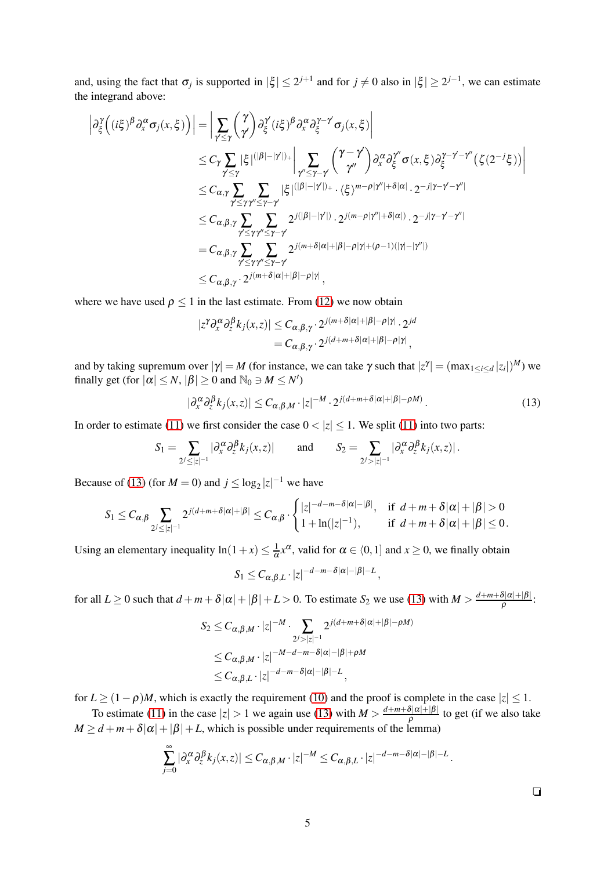and, using the fact that  $\sigma_j$  is supported in  $|\xi| \leq 2^{j+1}$  and for  $j \neq 0$  also in  $|\xi| \geq 2^{j-1}$ , we can estimate the integrand above:

$$
\left| \partial_{\xi}^{\gamma} \left( (i\xi)^{\beta} \partial_{x}^{\alpha} \sigma_{j}(x,\xi) \right) \right| = \left| \sum_{\gamma' \leq \gamma} { \gamma \choose \gamma'} \partial_{\xi}^{\gamma'} (i\xi)^{\beta} \partial_{x}^{\alpha} \partial_{\xi}^{\gamma-\gamma'} \sigma_{j}(x,\xi) \right|
$$
  
\n
$$
\leq C_{\gamma} \sum_{\gamma' \leq \gamma} |\xi|^{(|\beta|-|\gamma'|)_+} \left| \sum_{\gamma'' \leq \gamma-\gamma'} { \gamma-\gamma' \choose \gamma''} \partial_{x}^{\alpha} \partial_{\xi}^{\gamma''} \sigma(x,\xi) \partial_{\xi}^{\gamma-\gamma'-\gamma''} (\zeta(2^{-j}\xi)) \right|
$$
  
\n
$$
\leq C_{\alpha,\gamma} \sum_{\gamma' \leq \gamma\gamma'' \leq \gamma-\gamma'} |\xi|^{(|\beta|-|\gamma'|)_+} \cdot \langle \xi \rangle^{m-\rho|\gamma'|+\delta|\alpha|} \cdot 2^{-j|\gamma-\gamma'-\gamma''|}
$$
  
\n
$$
\leq C_{\alpha,\beta,\gamma} \sum_{\gamma' \leq \gamma\gamma'' \leq \gamma-\gamma'} 2^{j(|\beta|-|\gamma'|)_-} 2^{j(m-\rho|\gamma'|+\delta|\alpha|)} \cdot 2^{-j|\gamma-\gamma'-\gamma''|}
$$
  
\n
$$
= C_{\alpha,\beta,\gamma} \sum_{\gamma' \leq \gamma\gamma'' \leq \gamma-\gamma'} 2^{j(m+\delta|\alpha|+|\beta|-\rho|\gamma|+(\rho-1)(|\gamma|-|\gamma''|)}
$$
  
\n
$$
\leq C_{\alpha,\beta,\gamma} \cdot 2^{j(m+\delta|\alpha|+|\beta|-\rho|\gamma|},
$$

where we have used  $\rho \le 1$  in the last estimate. From [\(12\)](#page-3-2) we now obtain

$$
|z^{\gamma} \partial_x^{\alpha} \partial_z^{\beta} k_j(x, z)| \leq C_{\alpha, \beta, \gamma} \cdot 2^{j(m+\delta|\alpha|+|\beta|-\rho|\gamma|} \cdot 2^{jd}
$$
  
=  $C_{\alpha, \beta, \gamma} \cdot 2^{j(d+m+\delta|\alpha|+|\beta|-\rho|\gamma|},$ 

and by taking supremum over  $|\gamma| = M$  (for instance, we can take  $\gamma$  such that  $|z^{\gamma}| = (\max_{1 \le i \le d} |z_i|)^M$ ) we finally get (for  $|\alpha| \le N$ ,  $|\beta| \ge 0$  and  $\mathbb{N}_0 \ni M \le N'$ )

<span id="page-4-0"></span>
$$
|\partial_x^{\alpha} \partial_z^{\beta} k_j(x, z)| \le C_{\alpha, \beta, M} \cdot |z|^{-M} \cdot 2^{j(d + m + \delta |\alpha| + |\beta| - \rho M)}.
$$
\n(13)

In order to estimate [\(11\)](#page-3-3) we first consider the case  $0 < |z| \le 1$ . We split (11) into two parts:

$$
S_1=\sum_{2^j\leq|z|^{-1}}|\partial_x^{\alpha}\partial_z^{\beta}k_j(x,z)|\qquad\text{and}\qquad S_2=\sum_{2^j>|z|^{-1}}|\partial_x^{\alpha}\partial_z^{\beta}k_j(x,z)|.
$$

Because of [\(13\)](#page-4-0) (for  $M = 0$ ) and  $j \le \log_2 |z|^{-1}$  we have

$$
S_1 \leq C_{\alpha,\beta} \sum_{2^j \leq |z|^{-1}} 2^{j(d+m+\delta|\alpha|+|\beta|} \leq C_{\alpha,\beta} \cdot \begin{cases} |z|^{-d-m-\delta|\alpha|-|\beta|}, & \text{if } d+m+\delta|\alpha|+|\beta|>0\\ 1+\ln(|z|^{-1}), & \text{if } d+m+\delta|\alpha|+|\beta| \leq 0. \end{cases}
$$

Using an elementary inequality  $\ln(1+x) \leq \frac{1}{\alpha}x^{\alpha}$ , valid for  $\alpha \in (0,1]$  and  $x \geq 0$ , we finally obtain

$$
S_1 \leq C_{\alpha,\beta,L} \cdot |z|^{-d-m-\delta|\alpha|-|\beta|-L},
$$

for all  $L \ge 0$  such that  $d + m + \delta |\alpha| + |\beta| + L > 0$ . To estimate  $S_2$  we use [\(13\)](#page-4-0) with  $M > \frac{d+m+\delta|\alpha|+|\beta|}{\delta}$  $\frac{\rho^{|\alpha|+|\rho|}}{\rho}$ :

$$
S_2 \leq C_{\alpha,\beta,M} \cdot |z|^{-M} \cdot \sum_{2^j > |z|^{-1}} 2^{j(d+m+\delta|\alpha|+|\beta|-\rho M)}
$$
  
\n
$$
\leq C_{\alpha,\beta,M} \cdot |z|^{-M-d-m-\delta|\alpha|-|\beta|+\rho M}
$$
  
\n
$$
\leq C_{\alpha,\beta,L} \cdot |z|^{-d-m-\delta|\alpha|-|\beta|-L},
$$

for  $L \ge (1-\rho)M$ , which is exactly the requirement [\(10\)](#page-3-4) and the proof is complete in the case  $|z| \le 1$ .

To estimate [\(11\)](#page-3-3) in the case  $|z| > 1$  we again use [\(13\)](#page-4-0) with  $M > \frac{d+m+\delta|\alpha|+|\beta|}{\delta}$  $\frac{\partial |\alpha| + |\beta|}{\rho}$  to get (if we also take  $M \ge d + m + \delta |\alpha| + |\beta| + L$ , which is possible under requirements of the lemma)

$$
\sum_{j=0}^{\infty} |\partial_{x}^{\alpha} \partial_{z}^{\beta} k_{j}(x,z)| \leq C_{\alpha,\beta,M} \cdot |z|^{-M} \leq C_{\alpha,\beta,L} \cdot |z|^{-d-m-\delta|\alpha|-|\beta|-L}.
$$

 $\Box$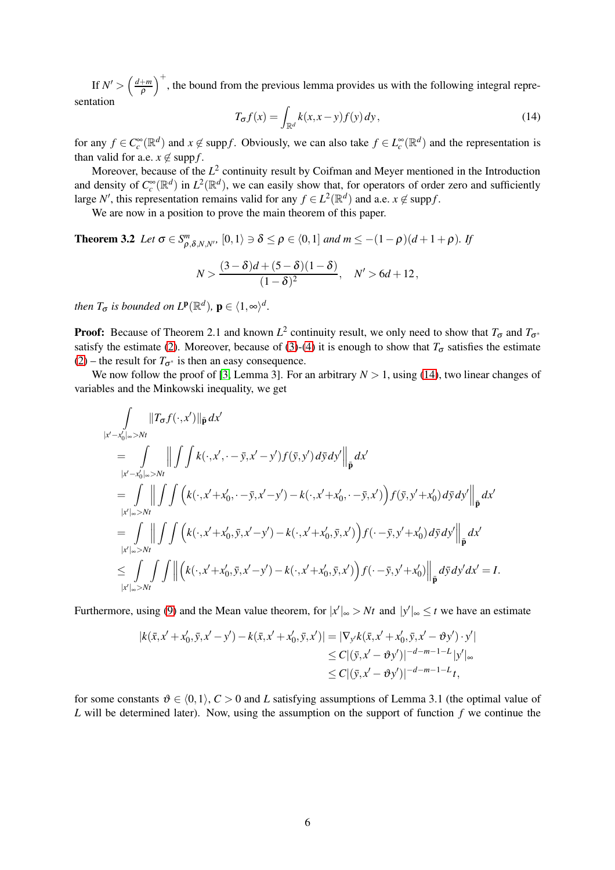If  $N' > \left(\frac{d+m}{\rho}\right)^+$ , the bound from the previous lemma provides us with the following integral representation

<span id="page-5-0"></span>
$$
T_{\sigma}f(x) = \int_{\mathbb{R}^d} k(x, x - y) f(y) \, dy,\tag{14}
$$

for any  $f \in C_c^{\infty}(\mathbb{R}^d)$  and  $x \notin \text{supp} f$ . Obviously, we can also take  $f \in L_c^{\infty}(\mathbb{R}^d)$  and the representation is than valid for a.e.  $x \notin \text{supp } f$ .

Moreover, because of the L<sup>2</sup> continuity result by Coifman and Meyer mentioned in the Introduction and density of  $C_c^{\infty}(\mathbb{R}^d)$  in  $L^2(\mathbb{R}^d)$ , we can easily show that, for operators of order zero and sufficiently large *N'*, this representation remains valid for any  $f \in L^2(\mathbb{R}^d)$  and a.e.  $x \notin \text{supp} f$ .

We are now in a position to prove the main theorem of this paper.

**Theorem 3.2** *Let*  $\sigma \in S^m_{\rho, \delta, N, N'}$ ,  $[0, 1 \rangle \ni \delta \le \rho \in (0, 1]$  and  $m \le -(1 - \rho)(d + 1 + \rho)$ . If

$$
N > \frac{(3-\delta)d + (5-\delta)(1-\delta)}{(1-\delta)^2}, \quad N' > 6d + 12,
$$

*then*  $T_{\sigma}$  *is bounded on*  $L^{\mathbf{p}}(\mathbb{R}^d)$ ,  $\mathbf{p} \in \langle 1, \infty \rangle^d$ .

**Proof:** Because of Theorem 2.1 and known  $L^2$  continuity result, we only need to show that  $T_{\sigma}$  and  $T_{\sigma^*}$ satisfy the estimate [\(2\)](#page-1-0). Moreover, because of [\(3\)](#page-2-2)-[\(4\)](#page-2-3) it is enough to show that  $T_{\sigma}$  satisfies the estimate [\(2\)](#page-1-0) – the result for  $T_{\sigma^*}$  is then an easy consequence.

We now follow the proof of [\[3,](#page-7-8) Lemma 3]. For an arbitrary  $N > 1$ , using [\(14\)](#page-5-0), two linear changes of variables and the Minkowski inequality, we get

$$
\int_{|x'-x'_0|_{\infty}>Nt} \|T_{\sigma}f(\cdot,x')\|_{\tilde{\mathbf{p}}} dx' \n= \int_{|x'-x'_0|_{\infty}>Nt} \left\| \int \int k(\cdot,x',-\bar{y},x'-y')f(\bar{y},y') d\bar{y} dy' \right\|_{\tilde{\mathbf{p}}} dx' \n= \int_{|x'|_{\infty}>Nt} \left\| \int \int \left( k(\cdot,x'+x'_0,\cdot-\bar{y},x'-y') - k(\cdot,x'+x'_0,\cdot-\bar{y},x') \right) f(\bar{y},y'+x'_0) d\bar{y} dy' \right\|_{\tilde{\mathbf{p}}} dx' \n= \int_{|x'|_{\infty}>Nt} \left\| \int \int \left( k(\cdot,x'+x'_0,\bar{y},x'-y') - k(\cdot,x'+x'_0,\bar{y},x') \right) f(\cdot-\bar{y},y'+x'_0) d\bar{y} dy' \right\|_{\tilde{\mathbf{p}}} dx' \n\leq \int_{|x'|_{\infty}>Nt} \int \int \left\| \left( k(\cdot,x'+x'_0,\bar{y},x'-y') - k(\cdot,x'+x'_0,\bar{y},x') \right) f(\cdot-\bar{y},y'+x'_0) \right\|_{\tilde{\mathbf{p}}} d\bar{y} dy' dx' = I.
$$

Furthermore, using [\(9\)](#page-3-1) and the Mean value theorem, for  $|x'|_{\infty} > Nt$  and  $|y'|_{\infty} \le t$  we have an estimate

$$
|k(\bar{x}, x' + x'_0, \bar{y}, x' - y') - k(\bar{x}, x' + x'_0, \bar{y}, x')| = |\nabla_{y'} k(\bar{x}, x' + x'_0, \bar{y}, x' - \vartheta y') \cdot y'|
$$
  
\n
$$
\leq C |(\bar{y}, x' - \vartheta y')|^{-d - m - 1 - L} |y'|_{\infty}
$$
  
\n
$$
\leq C |(\bar{y}, x' - \vartheta y')|^{-d - m - 1 - L} t,
$$

for some constants  $\vartheta \in (0,1)$ ,  $C > 0$  and *L* satisfying assumptions of Lemma 3.1 (the optimal value of *L* will be determined later). Now, using the assumption on the support of function *f* we continue the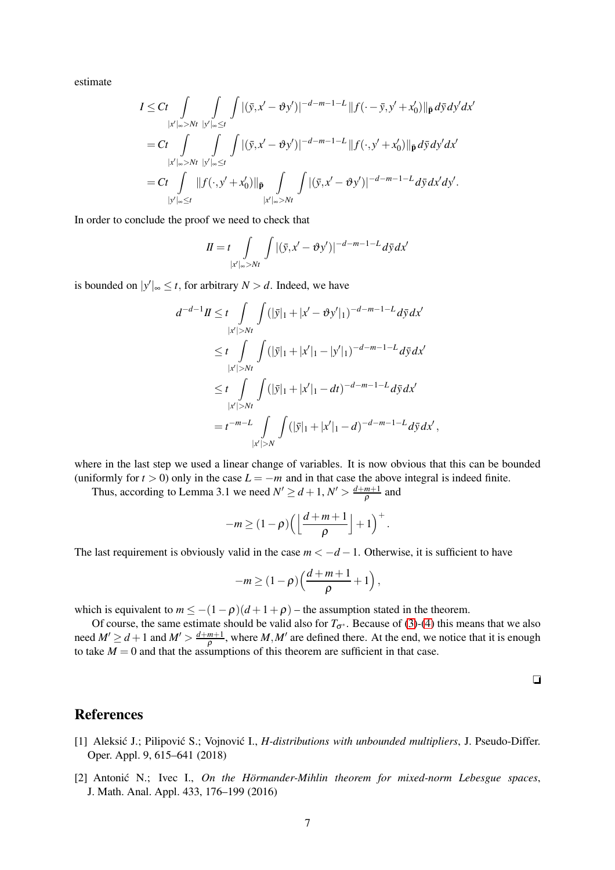estimate

$$
I \leq Ct \int_{|x'|_{\infty} > Nt} \int_{|y'|_{\infty} \leq t} \int |(\bar{y}, x' - \vartheta y')|^{-d-m-1-L} ||f(\cdot - \bar{y}, y' + x'_0)||_{\bar{\mathbf{p}}} d\bar{y} dy' dx'
$$
  
=  $Ct \int_{|x'|_{\infty} > Nt} \int_{|y'|_{\infty} \leq t} \int |(\bar{y}, x' - \vartheta y')|^{-d-m-1-L} ||f(\cdot, y' + x'_0)||_{\bar{\mathbf{p}}} d\bar{y} dy' dx'$   
=  $Ct \int_{|y'|_{\infty} \leq t} ||f(\cdot, y' + x'_0)||_{\bar{\mathbf{p}}} \int_{|x'|_{\infty} > Nt} \int |(\bar{y}, x' - \vartheta y')|^{-d-m-1-L} d\bar{y} dx' dy'.$ 

In order to conclude the proof we need to check that

$$
II = t \int\limits_{|x'|_{\infty} > Nt} \int |(\bar{y}, x' - \vartheta y')|^{-d-m-1-L} d\bar{y} dx'
$$

is bounded on  $|y'|_{\infty} \leq t$ , for arbitrary  $N > d$ . Indeed, we have

$$
d^{-d-1}H \leq t \int\limits_{|x'|>Nt} \int (|\bar{y}|_1 + |x'-\vartheta y'|_1)^{-d-m-1-L} d\bar{y} dx'
$$
  
\n
$$
\leq t \int\limits_{|x'|>Nt} \int (|\bar{y}|_1 + |x'|_1 - |y'|_1)^{-d-m-1-L} d\bar{y} dx'
$$
  
\n
$$
\leq t \int\limits_{|x'|>Nt} \int (|\bar{y}|_1 + |x'|_1 - dt)^{-d-m-1-L} d\bar{y} dx'
$$
  
\n
$$
= t^{-m-L} \int\limits_{|x'|>N} \int (|\bar{y}|_1 + |x'|_1 - d)^{-d-m-1-L} d\bar{y} dx',
$$

where in the last step we used a linear change of variables. It is now obvious that this can be bounded (uniformly for  $t > 0$ ) only in the case  $L = -m$  and in that case the above integral is indeed finite.

Thus, according to Lemma 3.1 we need  $N' \ge d+1$ ,  $N' > \frac{d+m+1}{\rho}$  and

$$
-m\geq (1-\rho)\left(\left\lfloor\frac{d+m+1}{\rho}\right\rfloor+1\right)^+.
$$

The last requirement is obviously valid in the case  $m < -d - 1$ . Otherwise, it is sufficient to have

$$
-m\geq (1-\rho)\left(\frac{d+m+1}{\rho}+1\right),\,
$$

which is equivalent to  $m \le -(1-\rho)(d+1+\rho)$  – the assumption stated in the theorem.

Of course, the same estimate should be valid also for  $T_{\sigma^*}$ . Because of [\(3\)](#page-2-2)-[\(4\)](#page-2-3) this means that we also need  $M' \ge d+1$  and  $M' > \frac{d+m+1}{\rho}$ , where  $M, M'$  are defined there. At the end, we notice that it is enough to take  $M = 0$  and that the assumptions of this theorem are sufficient in that case.

 $\Box$ 

### <span id="page-6-0"></span>References

- [1] Aleksić J.; Pilipović S.; Vojnović I., *H-distributions with unbounded multipliers*, J. Pseudo-Differ. Oper. Appl. 9, 615–641 (2018)
- <span id="page-6-1"></span>[2] Antonić N.; Ivec I., *On the Hörmander-Mihlin theorem for mixed-norm Lebesgue spaces*, J. Math. Anal. Appl. 433, 176–199 (2016)